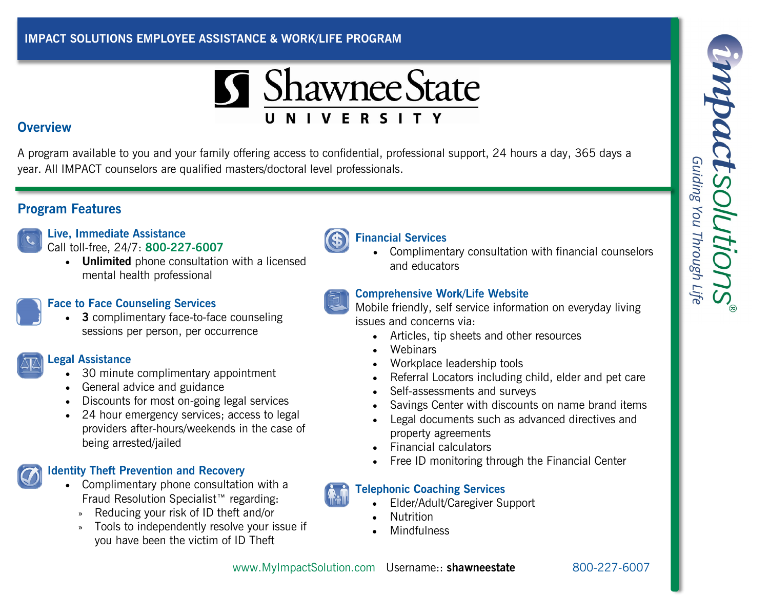### **IMPACT SOLUTIONS EMPLOYEE ASSISTANCE & WORK/LIFE PROGRAM**



#### **Overview**

A program available to you and your family offering access to confidential, professional support, 24 hours a day, 365 days a year. All IMPACT counselors are qualified masters/doctoral level professionals.

# **Program Features**

**Live, Immediate Assistance** Call toll-free, 24/7: **800-227-6007**

> **Unlimited** phone consultation with a licensed mental health professional



 **3** complimentary face-to-face counseling sessions per person, per occurrence



- 30 minute complimentary appointment
- General advice and guidance
- Discounts for most on-going legal services
- 24 hour emergency services; access to legal providers after-hours/weekends in the case of being arrested/jailed

# **Identity Theft Prevention and Recovery**

- Complimentary phone consultation with a Fraud Resolution Specialist™ regarding:
	- » Reducing your risk of ID theft and/or
	- » Tools to independently resolve your issue if you have been the victim of ID Theft





 Complimentary consultation with financial counselors and educators

# **Comprehensive Work/Life Website**

Mobile friendly, self service information on everyday living issues and concerns via:

- Articles, tip sheets and other resources
- **Webinars**
- Workplace leadership tools
- Referral Locators including child, elder and pet care
- Self-assessments and surveys
- Savings Center with discounts on name brand items
- Legal documents such as advanced directives and property agreements
- Financial calculators
- Free ID monitoring through the Financial Center

# **Telephonic Coaching Services**

- Elder/Adult/Caregiver Support
- Nutrition
- Mindfulness